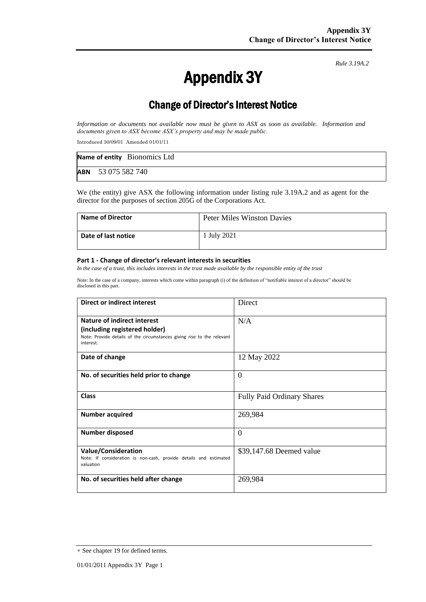# Appendix 3Y

*Rule 3.19A.2*

## Change of Director's Interest Notice

*Information or documents not available now must be given to ASX as soon as available. Information and documents given to ASX become ASX's property and may be made public.*

Introduced 30/09/01 Amended 01/01/11

|                           | Name of entity Bionomics Ltd |
|---------------------------|------------------------------|
| <b>ABN</b> 53 075 582 740 |                              |

We (the entity) give ASX the following information under listing rule 3.19A.2 and as agent for the director for the purposes of section 205G of the Corporations Act.

| <b>Name of Director</b> | <b>Peter Miles Winston Davies</b> |
|-------------------------|-----------------------------------|
| Date of last notice     | 1 July 2021                       |

#### **Part 1 - Change of director's relevant interests in securities**

*In the case of a trust, this includes interests in the trust made available by the responsible entity of the trust*

Note: In the case of a company, interests which come within paragraph (i) of the definition of "notifiable interest of a director" should be disclosed in this part.

| Direct or indirect interest                                                                                                                                | <b>Direct</b>                     |  |
|------------------------------------------------------------------------------------------------------------------------------------------------------------|-----------------------------------|--|
| <b>Nature of indirect interest</b><br>(including registered holder)<br>Note: Provide details of the circumstances giving rise to the relevant<br>interest. | N/A                               |  |
| Date of change                                                                                                                                             | 12 May 2022                       |  |
| No. of securities held prior to change                                                                                                                     | $\overline{0}$                    |  |
| <b>Class</b>                                                                                                                                               | <b>Fully Paid Ordinary Shares</b> |  |
| <b>Number acquired</b>                                                                                                                                     | 269,984                           |  |
| <b>Number disposed</b>                                                                                                                                     | $\Omega$                          |  |
| <b>Value/Consideration</b><br>Note: If consideration is non-cash, provide details and estimated<br>valuation                                               | \$39,147.68 Deemed value          |  |
| No. of securities held after change                                                                                                                        | 269,984                           |  |

<sup>+</sup> See chapter 19 for defined terms.